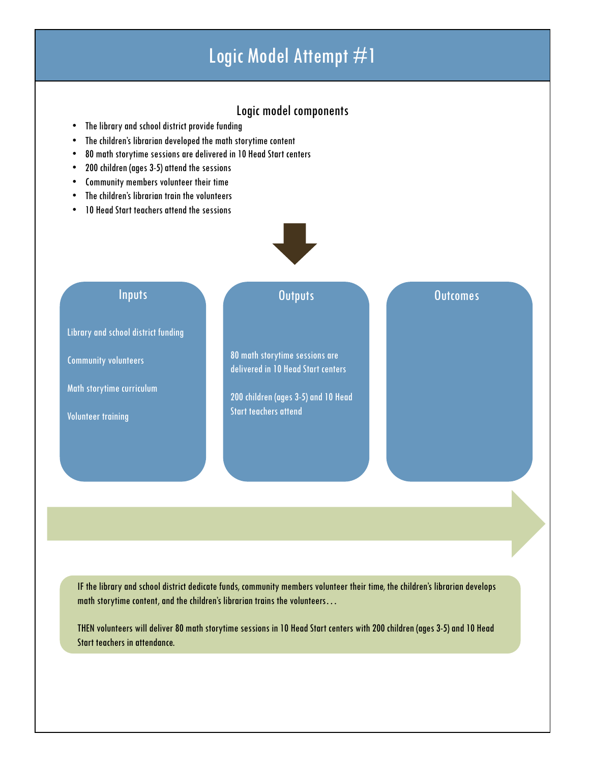# Logic Model Attempt #1

# Logic model components

- The library and school district provide funding
- The children's librarian developed the math storytime content
- 80 math storytime sessions are delivered in 10 Head Start centers
- 200 children (ages 3-5) attend the sessions
- Community members volunteer their time
- The children's librarian train the volunteers
- 10 Head Start teachers attend the sessions

# Inputs

Library and school district funding

Community volunteers

Math storytime curriculum

Volunteer training

# Outputs **Outcomes**

80 math storytime sessions are delivered in 10 Head Start centers

200 children (ages 3-5) and 10 Head Start teachers attend

IF the library and school district dedicate funds, community members volunteer their time, the children's librarian develops math storytime content, and the children's librarian trains the volunteers...

THEN volunteers will deliver 80 math storytime sessions in 10 Head Start centers with 200 children (ages 3-5) and 10 Head Start teachers in attendance.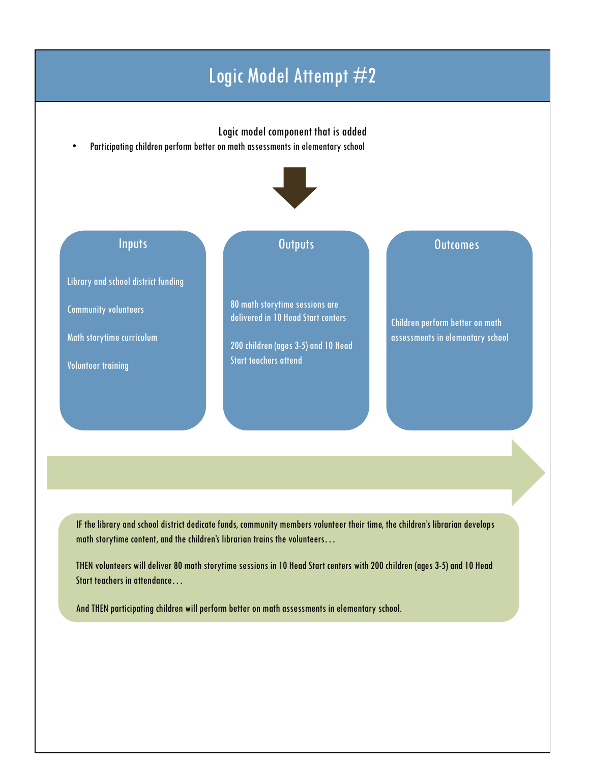# Logic Model Attempt #2

## Logic model component that is added

• Participating children perform better on math assessments in elementary school

# Inputs

Library and school district funding

Community volunteers

Math storytime curriculum

Volunteer training

# **Outputs**

80 math storytime sessions are delivered in 10 Head Start centers

200 children (ages 3-5) and 10 Head Start teachers attend

### **Outcomes**

Children perform better on math assessments in elementary school

IF the library and school district dedicate funds, community members volunteer their time, the children's librarian develops math storytime content, and the children's librarian trains the volunteers...

THEN volunteers will deliver 80 math storytimesessions in 10 Head Start centers with 200 children (ages 3-5) and 10 Head Start teachers in attendance…

And THEN participating children will perform better on math assessments in elementary school.